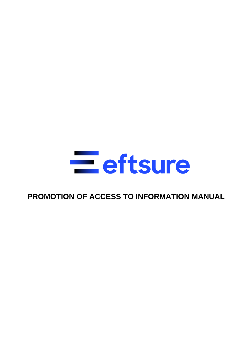

# **PROMOTION OF ACCESS TO INFORMATION MANUAL**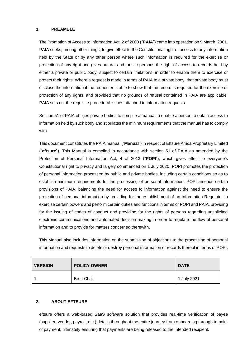### **1. PREAMBLE**

The Promotion of Access to Information Act, 2 of 2000 ("**PAIA**") came into operation on 9 March, 2001. PAIA seeks, among other things, to give effect to the Constitutional right of access to any information held by the State or by any other person where such information is required for the exercise or protection of any right and gives natural and juristic persons the right of access to records held by either a private or public body, subject to certain limitations, in order to enable them to exercise or protect their rights. Where a request is made in terms of PAIA to a private body, that private body must disclose the information if the requester is able to show that the record is required for the exercise or protection of any rights, and provided that no grounds of refusal contained in PAIA are applicable. PAIA sets out the requisite procedural issues attached to information requests.

Section 51 of PAIA obliges private bodies to compile a manual to enable a person to obtain access to information held by such body and stipulates the minimum requirements that the manual has to comply with.

This document constitutes the PAIA manual ("**Manual**") in respect of Eftsure Africa Proprietary Limited ("**eftsure**"). This Manual is compiled in accordance with section 51 of PAIA as amended by the Protection of Personal Information Act, 4 of 2013 ("**POPI**"), which gives effect to everyone's Constitutional right to privacy and largely commenced on 1 July 2020. POPI promotes the protection of personal information processed by public and private bodies, including certain conditions so as to establish minimum requirements for the processing of personal information. POPI amends certain provisions of PAIA, balancing the need for access to information against the need to ensure the protection of personal information by providing for the establishment of an Information Regulator to exercise certain powers and perform certain duties and functions in terms of POPI and PAIA, providing for the issuing of codes of conduct and providing for the rights of persons regarding unsolicited electronic communications and automated decision making in order to regulate the flow of personal information and to provide for matters concerned therewith.

This Manual also includes information on the submission of objections to the processing of personal information and requests to delete or destroy personal information or records thereof in terms of POPI.

| <b>VERSION</b> | <b>POLICY OWNER</b> | <b>DATE</b> |
|----------------|---------------------|-------------|
|                | <b>Brett Chait</b>  | 1 July 2021 |

### **2. ABOUT EFTSURE**

eftsure offers a web-based SaaS software solution that provides real-time verification of payee (supplier, vendor, payroll, etc.) details throughout the entire journey from onboarding through to point of payment, ultimately ensuring that payments are being released to the intended recipient.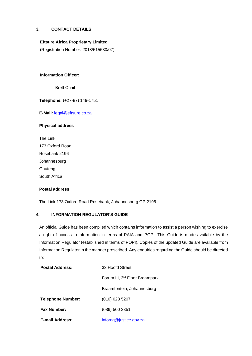# <span id="page-2-0"></span>**3. CONTACT DETAILS**

### **Eftsure Africa Proprietary Limited**

(Registration Number: 2018/515630/07)

### **Information Officer:**

Brett Chait

**Telephone:** (+27-87) 149-1751

**E-Mail:** [legal@eftsure.co.za](mailto:legal@eftsure.co.za)

### **Physical address**

The Link 173 Oxford Road Rosebank 2196 Johannesburg Gauteng South Africa

### **Postal address**

The Link 173 Oxford Road Rosebank, Johannesburg GP 2196

### **4. INFORMATION REGULATOR'S GUIDE**

An official Guide has been compiled which contains information to assist a person wishing to exercise a right of access to information in terms of PAIA and POPI. This Guide is made available by the Information Regulator (established in terms of POPI). Copies of the updated Guide are available from Information Regulator in the manner prescribed. Any enquiries regarding the Guide should be directed to:

| <b>Postal Address:</b>   | 33 Hoofd Street                            |
|--------------------------|--------------------------------------------|
|                          | Forum III, 3 <sup>rd</sup> Floor Braampark |
|                          | Braamfontein, Johannesburg                 |
| <b>Telephone Number:</b> | $(010)$ 023 5207                           |
| <b>Fax Number:</b>       | $(086)$ 500 3351                           |
| <b>E-mail Address:</b>   | inforeg@justice.gov.za                     |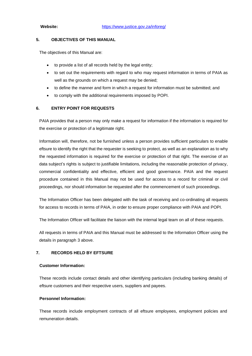### **5. OBJECTIVES OF THIS MANUAL**

The objectives of this Manual are:

- to provide a list of all records held by the legal entity;
- to set out the requirements with regard to who may request information in terms of PAIA as well as the grounds on which a request may be denied;
- to define the manner and form in which a request for information must be submitted; and
- to comply with the additional requirements imposed by POPI.

### **6. ENTRY POINT FOR REQUESTS**

PAIA provides that a person may only make a request for information if the information is required for the exercise or protection of a legitimate right.

Information will, therefore, not be furnished unless a person provides sufficient particulars to enable eftsure to identify the right that the requester is seeking to protect, as well as an explanation as to why the requested information is required for the exercise or protection of that right. The exercise of an data subject's rights is subject to justifiable limitations, including the reasonable protection of privacy, commercial confidentiality and effective, efficient and good governance. PAIA and the request procedure contained in this Manual may not be used for access to a record for criminal or civil proceedings, nor should information be requested after the commencement of such proceedings.

The Information Officer has been delegated with the task of receiving and co-ordinating all requests for access to records in terms of PAIA, in order to ensure proper compliance with PAIA and POPI.

The Information Officer will facilitate the liaison with the internal legal team on all of these requests.

All requests in terms of PAIA and this Manual must be addressed to the Information Officer using the details in paragraph [3](#page-2-0) above.

### **7. RECORDS HELD BY EFTSURE**

### **Customer Information:**

These records include contact details and other identifying particulars (including banking details) of eftsure customers and their respective users, suppliers and payees.

### **Personnel Information:**

These records include employment contracts of all eftsure employees, employment policies and remuneration details.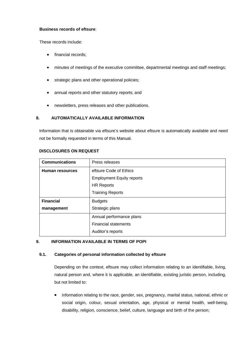### **Business records of eftsure**:

These records include:

- financial records;
- minutes of meetings of the executive committee, departmental meetings and staff meetings;
- strategic plans and other operational policies;
- annual reports and other statutory reports; and
- newsletters, press releases and other publications.

# **8. AUTOMATICALLY AVAILABLE INFORMATION**

Information that is obtainable via eftsure's website about eftsure is automatically available and need not be formally requested in terms of this Manual.

| <b>Communications</b>  | Press releases                   |
|------------------------|----------------------------------|
| <b>Human resources</b> | eftsure Code of Ethics           |
|                        | <b>Employment Equity reports</b> |
|                        | <b>HR Reports</b>                |
|                        | <b>Training Reports</b>          |
| <b>Financial</b>       | <b>Budgets</b>                   |
| management             | Strategic plans                  |
|                        | Annual performance plans         |
|                        | <b>Financial statements</b>      |
|                        | Auditor's reports                |

### **DISCLOSURES ON REQUEST**

### **9. INFORMATION AVAILABLE IN TERMS OF POPI**

### **9.1. Categories of personal information collected by eftsure**

Depending on the context, eftsure may collect information relating to an identifiable, living, natural person and, where it is applicable, an identifiable, existing juristic person, including, but not limited to:

• information relating to the race, gender, sex, pregnancy, marital status, national, ethnic or social origin, colour, sexual orientation, age, physical or mental health, well-being, disability, religion, conscience, belief, culture, language and birth of the person;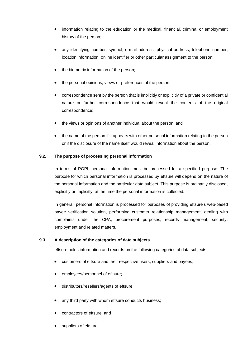- information relating to the education or the medical, financial, criminal or employment history of the person;
- any identifying number, symbol, e-mail address, physical address, telephone number, location information, online identifier or other particular assignment to the person;
- the biometric information of the person;
- the personal opinions, views or preferences of the person;
- correspondence sent by the person that is implicitly or explicitly of a private or confidential nature or further correspondence that would reveal the contents of the original correspondence;
- the views or opinions of another individual about the person; and
- the name of the person if it appears with other personal information relating to the person or if the disclosure of the name itself would reveal information about the person.

# **9.2. The purpose of processing personal information**

In terms of POPI, personal information must be processed for a specified purpose. The purpose for which personal information is processed by eftsure will depend on the nature of the personal information and the particular data subject. This purpose is ordinarily disclosed, explicitly or implicitly, at the time the personal information is collected.

In general, personal information is processed for purposes of providing eftsure's web-based payee verification solution, performing customer relationship management, dealing with complaints under the CPA, procurement purposes, records management, security, employment and related matters.

# **9.3. A description of the categories of data subjects**

eftsure holds information and records on the following categories of data subjects:

- customers of eftsure and their respective users, suppliers and payees;
- employees/personnel of eftsure;
- distributors/resellers/agents of eftsure;
- any third party with whom eftsure conducts business;
- contractors of eftsure; and
- suppliers of eftsure.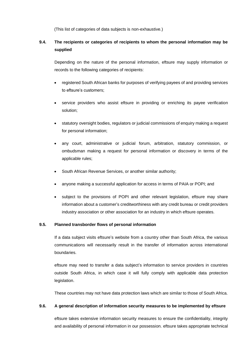(This list of categories of data subjects is non-exhaustive.)

# **9.4. The recipients or categories of recipients to whom the personal information may be supplied**

Depending on the nature of the personal information, eftsure may supply information or records to the following categories of recipients:

- registered South African banks for purposes of verifying payees of and providing services to eftsure's customers;
- service providers who assist eftsure in providing or enriching its payee verification solution;
- statutory oversight bodies, regulators or judicial commissions of enquiry making a request for personal information;
- any court, administrative or judicial forum, arbitration, statutory commission, or ombudsman making a request for personal information or discovery in terms of the applicable rules;
- South African Revenue Services, or another similar authority;
- anyone making a successful application for access in terms of PAIA or POPI; and
- subject to the provisions of POPI and other relevant legislation, eftsure may share information about a customer's creditworthiness with any credit bureau or credit providers industry association or other association for an industry in which eftsure operates.

### **9.5. Planned transborder flows of personal information**

If a data subject visits eftsure's website from a country other than South Africa, the various communications will necessarily result in the transfer of information across international boundaries.

eftsure may need to transfer a data subject's information to service providers in countries outside South Africa, in which case it will fully comply with applicable data protection legislation.

These countries may not have data protection laws which are similar to those of South Africa.

### **9.6. A general description of information security measures to be implemented by eftsure**

eftsure takes extensive information security measures to ensure the confidentiality, integrity and availability of personal information in our possession. eftsure takes appropriate technical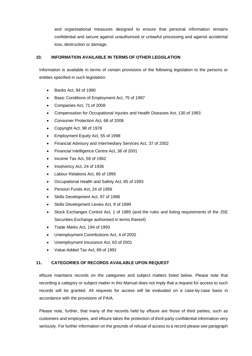and organisational measures designed to ensure that personal information remains confidential and secure against unauthorised or unlawful processing and against accidental loss, destruction or damage.

## **10. INFORMATION AVAILABLE IN TERMS OF OTHER LEGISLATION**

Information is available in terms of certain provisions of the following legislation to the persons or entities specified in such legislation:

- Banks Act, 94 of 1990
- Basic Conditions of Employment Act, 75 of 1997
- Companies Act, 71 of 2008
- Compensation for Occupational Injuries and Health Diseases Act, 130 of 1993
- Consumer Protection Act, 68 of 2008
- Copyright Act, 98 of 1978
- Employment Equity Act, 55 of 1998
- Financial Advisory and Intermediary Services Act, 37 of 2002
- Financial Intelligence Centre Act, 38 of 2001
- Income Tax Act, 58 of 1962
- Insolvency Act, 24 of 1936
- Labour Relations Act, 66 of 1995
- Occupational Health and Safety Act, 85 of 1993
- Pension Funds Act, 24 of 1956
- Skills Development Act, 97 of 1998
- Skills Development Levies Act, 9 of 1999
- Stock Exchanges Control Act, 1 of 1985 (and the rules and listing requirements of the JSE Securities Exchange authorised in terms thereof)
- Trade Marks Act, 194 of 1993
- Unemployment Contributions Act, 4 of 2002
- Unemployment Insurance Act, 63 of 2001
- Value-Added Tax Act, 89 of 1991

### **11. CATEGORIES OF RECORDS AVAILABLE UPON REQUEST**

eftsure maintains records on the categories and subject matters listed below. Please note that recording a category or subject matter in this Manual does not imply that a request for access to such records will be granted. All requests for access will be evaluated on a case-by-case basis in accordance with the provisions of PAIA.

Please note, further, that many of the records held by eftsure are those of third parties, such as customers and employees, and eftsure takes the protection of third-party confidential information very seriously. For further information on the grounds of refusal of access to a record please see paragraph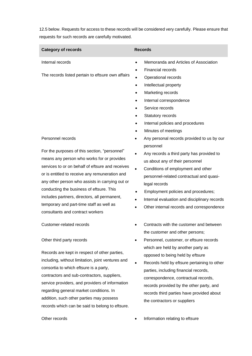[12.5](#page-10-0) below. Requests for access to these records will be considered very carefully. Please ensure that requests for such records are carefully motivated.

| <b>Category of records</b>                        | <b>Records</b>                                     |
|---------------------------------------------------|----------------------------------------------------|
| Internal records                                  | Memoranda and Articles of Association<br>$\bullet$ |
|                                                   | Financial records<br>$\bullet$                     |
| The records listed pertain to eftsure own affairs | Operational records<br>٠                           |
|                                                   | Intellectual property<br>$\bullet$                 |
|                                                   | Marketing records<br>$\bullet$                     |
|                                                   | Internal correspondence<br>$\bullet$               |
|                                                   | Service records                                    |
|                                                   | Statutory records                                  |
|                                                   | Internal policies and procedures<br>٠              |
|                                                   | Minutes of meetings                                |
| Personnel records                                 | Any personal records provided to us by our         |
|                                                   | personnel                                          |
| For the purposes of this section, "personnel"     | Any records a third party has provided to          |
| means any person who works for or provides        | us about any of their personnel                    |
| services to or on behalf of eftsure and receives  | Conditions of employment and other                 |
| or is entitled to receive any remuneration and    | personnel-related contractual and quasi-           |
| any other person who assists in carrying out or   | legal records                                      |
| conducting the business of eftsure. This          | Employment policies and procedures;                |
| includes partners, directors, all permanent,      | Internal evaluation and disciplinary records       |

temporary and part-time staff as well as consultants and contract workers

### Other third party records

Records are kept in respect of other parties, including, without limitation, joint ventures and consortia to which eftsure is a party, contractors and sub-contractors, suppliers, service providers, and providers of information regarding general market conditions. In addition, such other parties may possess records which can be said to belong to eftsure.

Customer-related records • Contracts with the customer and between the customer and other persons;

Other internal records and correspondence

- Personnel, customer, or eftsure records which are held by another party as opposed to being held by eftsure
- Records held by eftsure pertaining to other parties, including financial records, correspondence, contractual records, records provided by the other party, and records third parties have provided about the contractors or suppliers

Other records **• Information relating to eftsure**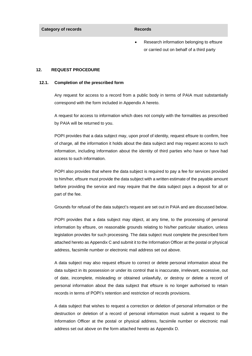**Category of records Records Records** 

• Research information belonging to eftsure or carried out on behalf of a third party

### **12. REQUEST PROCEDURE**

### **12.1. Completion of the prescribed form**

Any request for access to a record from a public body in terms of PAIA must substantially correspond with the form included in Appendix A hereto.

A request for access to information which does not comply with the formalities as prescribed by PAIA will be returned to you.

POPI provides that a data subject may, upon proof of identity, request eftsure to confirm, free of charge, all the information it holds about the data subject and may request access to such information, including information about the identity of third parties who have or have had access to such information.

POPI also provides that where the data subject is required to pay a fee for services provided to him/her, eftsure must provide the data subject with a written estimate of the payable amount before providing the service and may require that the data subject pays a deposit for all or part of the fee.

Grounds for refusal of the data subject's request are set out in PAIA and are discussed below.

POPI provides that a data subject may object, at any time, to the processing of personal information by eftsure, on reasonable grounds relating to his/her particular situation, unless legislation provides for such processing. The data subject must complete the prescribed form attached hereto as Appendix C and submit it to the Information Officer at the postal or physical address, facsimile number or electronic mail address set out above.

A data subject may also request eftsure to correct or delete personal information about the data subject in its possession or under its control that is inaccurate, irrelevant, excessive, out of date, incomplete, misleading or obtained unlawfully, or destroy or delete a record of personal information about the data subject that eftsure is no longer authorised to retain records in terms of POPI's retention and restriction of records provisions.

A data subject that wishes to request a correction or deletion of personal information or the destruction or deletion of a record of personal information must submit a request to the Information Officer at the postal or physical address, facsimile number or electronic mail address set out above on the form attached hereto as Appendix D.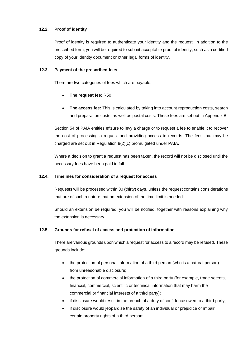# **12.2. Proof of identity**

Proof of identity is required to authenticate your identity and the request. In addition to the prescribed form, you will be required to submit acceptable proof of identity, such as a certified copy of your identity document or other legal forms of identity.

### **12.3. Payment of the prescribed fees**

There are two categories of fees which are payable:

- **The request fee:** R50
- **The access fee:** This is calculated by taking into account reproduction costs, search and preparation costs, as well as postal costs. These fees are set out in Appendix B.

Section 54 of PAIA entitles eftsure to levy a charge or to request a fee to enable it to recover the cost of processing a request and providing access to records. The fees that may be charged are set out in Regulation 9(2)(c) promulgated under PAIA.

Where a decision to grant a request has been taken, the record will not be disclosed until the necessary fees have been paid in full.

# **12.4. Timelines for consideration of a request for access**

Requests will be processed within 30 (thirty) days, unless the request contains considerations that are of such a nature that an extension of the time limit is needed.

Should an extension be required, you will be notified, together with reasons explaining why the extension is necessary.

# <span id="page-10-0"></span>**12.5. Grounds for refusal of access and protection of information**

There are various grounds upon which a request for access to a record may be refused. These grounds include:

- the protection of personal information of a third person (who is a natural person) from unreasonable disclosure;
- the protection of commercial information of a third party (for example, trade secrets, financial, commercial, scientific or technical information that may harm the commercial or financial interests of a third party);
- if disclosure would result in the breach of a duty of confidence owed to a third party;
- if disclosure would jeopardise the safety of an individual or prejudice or impair certain property rights of a third person;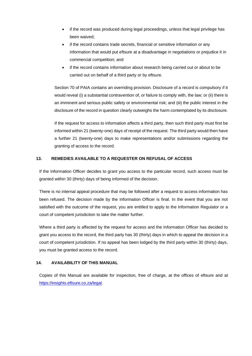- if the record was produced during legal proceedings, unless that legal privilege has been waived;
- if the record contains trade secrets, financial or sensitive information or any information that would put eftsure at a disadvantage in negotiations or prejudice it in commercial competition; and
- if the record contains information about research being carried out or about to be carried out on behalf of a third party or by eftsure.

Section 70 of PAIA contains an overriding provision. Disclosure of a record is compulsory if it would reveal (i) a substantial contravention of, or failure to comply with, the law; or (ii) there is an imminent and serious public safety or environmental risk; and (iii) the public interest in the disclosure of the record in question clearly outweighs the harm contemplated by its disclosure.

If the request for access to information affects a third party, then such third party must first be informed within 21 (twenty-one) days of receipt of the request. The third party would then have a further 21 (twenty-one) days to make representations and/or submissions regarding the granting of access to the record.

# **13. REMEDIES AVAILABLE TO A REQUESTER ON REFUSAL OF ACCESS**

If the Information Officer decides to grant you access to the particular record, such access must be granted within 30 (thirty) days of being informed of the decision.

There is no internal appeal procedure that may be followed after a request to access information has been refused. The decision made by the Information Officer is final. In the event that you are not satisfied with the outcome of the request, you are entitled to apply to the Information Regulator or a court of competent jurisdiction to take the matter further.

Where a third party is affected by the request for access and the Information Officer has decided to grant you access to the record, the third party has 30 (thirty) days in which to appeal the decision in a court of competent jurisdiction. If no appeal has been lodged by the third party within 30 (thirty) days, you must be granted access to the record.

# **14. AVAILABILITY OF THIS MANUAL**

Copies of this Manual are available for inspection, free of charge, at the offices of eftsure and at [https://insights.eftsure.co.za/legal.](https://insights.eftsure.co.za/legal)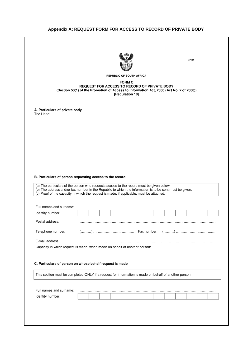# **Appendix A: REQUEST FORM FOR ACCESS TO RECORD OF PRIVATE BODY**

|                                                                                                                                                                                                     |  |  |                                                                                  |  |  | J752 |  |
|-----------------------------------------------------------------------------------------------------------------------------------------------------------------------------------------------------|--|--|----------------------------------------------------------------------------------|--|--|------|--|
|                                                                                                                                                                                                     |  |  | <b>REPUBLIC OF SOUTH AFRICA</b>                                                  |  |  |      |  |
| (Section 53(1) of the Promotion of Access to Information Act, 2000 (Act No. 2 of 2000))                                                                                                             |  |  | <b>FORM C</b><br>REQUEST FOR ACCESS TO RECORD OF PRIVATE BODY<br>[Regulation 10] |  |  |      |  |
| A. Particulars of private body<br>The Head:                                                                                                                                                         |  |  |                                                                                  |  |  |      |  |
|                                                                                                                                                                                                     |  |  |                                                                                  |  |  |      |  |
|                                                                                                                                                                                                     |  |  |                                                                                  |  |  |      |  |
|                                                                                                                                                                                                     |  |  |                                                                                  |  |  |      |  |
|                                                                                                                                                                                                     |  |  |                                                                                  |  |  |      |  |
|                                                                                                                                                                                                     |  |  |                                                                                  |  |  |      |  |
|                                                                                                                                                                                                     |  |  |                                                                                  |  |  |      |  |
|                                                                                                                                                                                                     |  |  |                                                                                  |  |  |      |  |
|                                                                                                                                                                                                     |  |  |                                                                                  |  |  |      |  |
|                                                                                                                                                                                                     |  |  |                                                                                  |  |  |      |  |
| B. Particulars of person requesting access to the record                                                                                                                                            |  |  |                                                                                  |  |  |      |  |
|                                                                                                                                                                                                     |  |  |                                                                                  |  |  |      |  |
| (a) The particulars of the person who requests access to the record must be given below.<br>(b) The address and/or fax number in the Republic to which the information is to be sent must be given. |  |  |                                                                                  |  |  |      |  |
| (c) Proof of the capacity in which the request is made, if applicable, must be attached.                                                                                                            |  |  |                                                                                  |  |  |      |  |
|                                                                                                                                                                                                     |  |  |                                                                                  |  |  |      |  |
| Full names and surname:                                                                                                                                                                             |  |  |                                                                                  |  |  |      |  |
| Identity number:                                                                                                                                                                                    |  |  |                                                                                  |  |  |      |  |
| Postal address:                                                                                                                                                                                     |  |  |                                                                                  |  |  |      |  |
| Telephone number:                                                                                                                                                                                   |  |  |                                                                                  |  |  |      |  |
|                                                                                                                                                                                                     |  |  |                                                                                  |  |  |      |  |
| E-mail address:                                                                                                                                                                                     |  |  |                                                                                  |  |  |      |  |
| Capacity in which request is made, when made on behalf of another person:                                                                                                                           |  |  |                                                                                  |  |  |      |  |
|                                                                                                                                                                                                     |  |  |                                                                                  |  |  |      |  |
| C. Particulars of person on whose behalf request is made                                                                                                                                            |  |  |                                                                                  |  |  |      |  |
|                                                                                                                                                                                                     |  |  |                                                                                  |  |  |      |  |
| This section must be completed ONLY if a request for information is made on behalf of another person.                                                                                               |  |  |                                                                                  |  |  |      |  |
|                                                                                                                                                                                                     |  |  |                                                                                  |  |  |      |  |
| Full names and surname:                                                                                                                                                                             |  |  |                                                                                  |  |  |      |  |
| Identity number:                                                                                                                                                                                    |  |  |                                                                                  |  |  |      |  |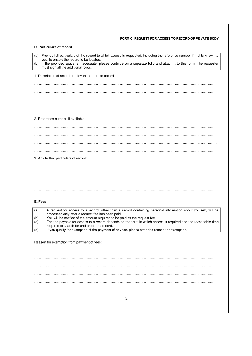| D. Particulars of record<br>Provide full particulars of the record to which access is requested, including the reference number if that is known to<br>(a)<br>you, to enable the record to be located.<br>If the provided space is inadequate, please continue on a separate folio and attach it to this form. The requester<br>(b)<br>must sign all the additional folios.<br>1. Description of record or relevant part of the record:<br>2. Reference number, if available:<br>3. Any further particulars of record:<br>E. Fees<br>A request for access to a record, other than a record containing personal information about yourself, will be<br>(a)<br>processed only after a request fee has been paid.<br>You will be notified of the amount required to be paid as the request fee.<br>required to search for and prepare a record.<br>If you qualify for exemption of the payment of any fee, please state the reason for exemption.<br>Reason for exemption from payment of fees:<br>2 |                   | FORM C: REQUEST FOR ACCESS TO RECORD OF PRIVATE BODY                                                           |
|---------------------------------------------------------------------------------------------------------------------------------------------------------------------------------------------------------------------------------------------------------------------------------------------------------------------------------------------------------------------------------------------------------------------------------------------------------------------------------------------------------------------------------------------------------------------------------------------------------------------------------------------------------------------------------------------------------------------------------------------------------------------------------------------------------------------------------------------------------------------------------------------------------------------------------------------------------------------------------------------------|-------------------|----------------------------------------------------------------------------------------------------------------|
|                                                                                                                                                                                                                                                                                                                                                                                                                                                                                                                                                                                                                                                                                                                                                                                                                                                                                                                                                                                                   |                   |                                                                                                                |
|                                                                                                                                                                                                                                                                                                                                                                                                                                                                                                                                                                                                                                                                                                                                                                                                                                                                                                                                                                                                   |                   |                                                                                                                |
|                                                                                                                                                                                                                                                                                                                                                                                                                                                                                                                                                                                                                                                                                                                                                                                                                                                                                                                                                                                                   |                   |                                                                                                                |
|                                                                                                                                                                                                                                                                                                                                                                                                                                                                                                                                                                                                                                                                                                                                                                                                                                                                                                                                                                                                   |                   |                                                                                                                |
|                                                                                                                                                                                                                                                                                                                                                                                                                                                                                                                                                                                                                                                                                                                                                                                                                                                                                                                                                                                                   |                   |                                                                                                                |
|                                                                                                                                                                                                                                                                                                                                                                                                                                                                                                                                                                                                                                                                                                                                                                                                                                                                                                                                                                                                   |                   |                                                                                                                |
|                                                                                                                                                                                                                                                                                                                                                                                                                                                                                                                                                                                                                                                                                                                                                                                                                                                                                                                                                                                                   |                   |                                                                                                                |
|                                                                                                                                                                                                                                                                                                                                                                                                                                                                                                                                                                                                                                                                                                                                                                                                                                                                                                                                                                                                   |                   |                                                                                                                |
|                                                                                                                                                                                                                                                                                                                                                                                                                                                                                                                                                                                                                                                                                                                                                                                                                                                                                                                                                                                                   |                   |                                                                                                                |
|                                                                                                                                                                                                                                                                                                                                                                                                                                                                                                                                                                                                                                                                                                                                                                                                                                                                                                                                                                                                   |                   |                                                                                                                |
|                                                                                                                                                                                                                                                                                                                                                                                                                                                                                                                                                                                                                                                                                                                                                                                                                                                                                                                                                                                                   |                   |                                                                                                                |
|                                                                                                                                                                                                                                                                                                                                                                                                                                                                                                                                                                                                                                                                                                                                                                                                                                                                                                                                                                                                   |                   |                                                                                                                |
|                                                                                                                                                                                                                                                                                                                                                                                                                                                                                                                                                                                                                                                                                                                                                                                                                                                                                                                                                                                                   |                   |                                                                                                                |
|                                                                                                                                                                                                                                                                                                                                                                                                                                                                                                                                                                                                                                                                                                                                                                                                                                                                                                                                                                                                   |                   |                                                                                                                |
|                                                                                                                                                                                                                                                                                                                                                                                                                                                                                                                                                                                                                                                                                                                                                                                                                                                                                                                                                                                                   |                   |                                                                                                                |
|                                                                                                                                                                                                                                                                                                                                                                                                                                                                                                                                                                                                                                                                                                                                                                                                                                                                                                                                                                                                   |                   |                                                                                                                |
|                                                                                                                                                                                                                                                                                                                                                                                                                                                                                                                                                                                                                                                                                                                                                                                                                                                                                                                                                                                                   |                   |                                                                                                                |
|                                                                                                                                                                                                                                                                                                                                                                                                                                                                                                                                                                                                                                                                                                                                                                                                                                                                                                                                                                                                   |                   |                                                                                                                |
|                                                                                                                                                                                                                                                                                                                                                                                                                                                                                                                                                                                                                                                                                                                                                                                                                                                                                                                                                                                                   |                   |                                                                                                                |
|                                                                                                                                                                                                                                                                                                                                                                                                                                                                                                                                                                                                                                                                                                                                                                                                                                                                                                                                                                                                   |                   |                                                                                                                |
|                                                                                                                                                                                                                                                                                                                                                                                                                                                                                                                                                                                                                                                                                                                                                                                                                                                                                                                                                                                                   |                   |                                                                                                                |
|                                                                                                                                                                                                                                                                                                                                                                                                                                                                                                                                                                                                                                                                                                                                                                                                                                                                                                                                                                                                   | (b)<br>(c)<br>(d) | The fee payable for access to a record depends on the form in which access is required and the reasonable time |
|                                                                                                                                                                                                                                                                                                                                                                                                                                                                                                                                                                                                                                                                                                                                                                                                                                                                                                                                                                                                   |                   |                                                                                                                |
|                                                                                                                                                                                                                                                                                                                                                                                                                                                                                                                                                                                                                                                                                                                                                                                                                                                                                                                                                                                                   |                   |                                                                                                                |
|                                                                                                                                                                                                                                                                                                                                                                                                                                                                                                                                                                                                                                                                                                                                                                                                                                                                                                                                                                                                   |                   |                                                                                                                |
|                                                                                                                                                                                                                                                                                                                                                                                                                                                                                                                                                                                                                                                                                                                                                                                                                                                                                                                                                                                                   |                   |                                                                                                                |
|                                                                                                                                                                                                                                                                                                                                                                                                                                                                                                                                                                                                                                                                                                                                                                                                                                                                                                                                                                                                   |                   |                                                                                                                |
|                                                                                                                                                                                                                                                                                                                                                                                                                                                                                                                                                                                                                                                                                                                                                                                                                                                                                                                                                                                                   |                   |                                                                                                                |
|                                                                                                                                                                                                                                                                                                                                                                                                                                                                                                                                                                                                                                                                                                                                                                                                                                                                                                                                                                                                   |                   |                                                                                                                |
|                                                                                                                                                                                                                                                                                                                                                                                                                                                                                                                                                                                                                                                                                                                                                                                                                                                                                                                                                                                                   |                   |                                                                                                                |
|                                                                                                                                                                                                                                                                                                                                                                                                                                                                                                                                                                                                                                                                                                                                                                                                                                                                                                                                                                                                   |                   |                                                                                                                |
|                                                                                                                                                                                                                                                                                                                                                                                                                                                                                                                                                                                                                                                                                                                                                                                                                                                                                                                                                                                                   |                   |                                                                                                                |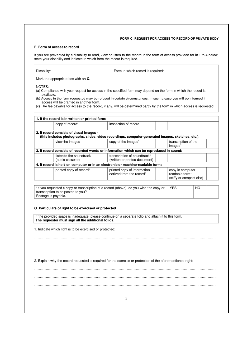### FORM C: REQUEST FOR ACCESS TO RECORD OF PRIVATE BODY

### F. Form of access to record

If you are prevented by a disability to read, view or listen to the record in the form of access provided for in 1 to 4 below. state your disability and indicate in which form the record is required.

Disability:

Form in which record is required:

Mark the appropriate box with an X.

NOTES:

- (a) Compliance with your request for access in the specified form may depend on the form in which the record is available.
- (b) Access in the form requested may be refused in certain circumstances. In such a case you will be informed if access will be granted in another form.

(c) The fee payable for access to the record, if any, will be determined partly by the form in which access is requested.

| 1. If the record is in written or printed form: |                                                                                                   |                                                                |  |
|-------------------------------------------------|---------------------------------------------------------------------------------------------------|----------------------------------------------------------------|--|
| copy of record*                                 | inspection of record                                                                              |                                                                |  |
| 2. If record consists of visual images -        | (this includes photographs, slides, video recordings, computer-generated images, sketches, etc.): |                                                                |  |
| view the images                                 | copy of the images*                                                                               | transcription of the<br>images*                                |  |
|                                                 | 3. If record consists of recorded words or information which can be reproduced in sound:          |                                                                |  |
| listen to the soundtrack<br>(audio cassette)    | transcription of soundtrack*<br>(written or printed document)                                     |                                                                |  |
|                                                 | 4. If record is held on computer or in an electronic or machine-readable form:                    |                                                                |  |
| printed copy of record*                         | printed copy of information<br>derived from the record*                                           | copy in computer<br>readable form*<br>(stiffy or compact disc) |  |
|                                                 |                                                                                                   |                                                                |  |
|                                                 | *If you requested a copy or transcription of a record (above), do you wish the copy or            | <b>YES</b><br>NO                                               |  |

transcription to be posted to you? Postage is payable.

### G. Particulars of right to be exercised or protected

If the provided space is inadequate, please continue on a separate folio and attach it to this form.<br>The requester must sign all the additional folios.

1. Indicate which right is to be exercised or protected:

2. Explain why the record requested is required for the exercise or protection of the aforementioned right: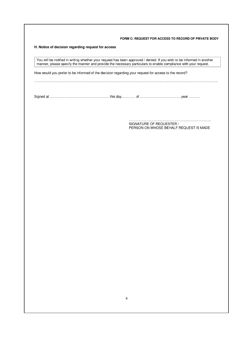FORM C: REQUEST FOR ACCESS TO RECORD OF PRIVATE BODY

H. Notice of decision regarding request for access

You will be notified in writing whether your request has been approved / denied. If you wish to be informed in another manner, please specify the manner and provide the necessary particulars to enable compliance with your

How would you prefer to be informed of the decision regarding your request for access to the record?

SIGNATURE OF REQUESTER / PERSON ON WHOSE BEHALF REQUEST IS MADE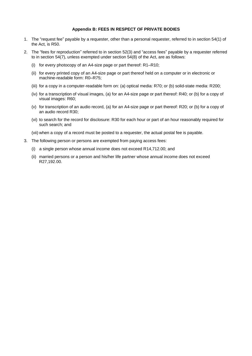### **Appendix B: FEES IN RESPECT OF PRIVATE BODIES**

- 1. The "request fee" payable by a requester, other than a personal requester, referred to in section 54(1) of the Act, is R50.
- 2. The "fees for reproduction" referred to in section 52(3) and "access fees" payable by a requester referred to in section 54(7), unless exempted under section 54(8) of the Act, are as follows:
	- (i) for every photocopy of an A4-size page or part thereof: R1–R10;
	- (ii) for every printed copy of an A4-size page or part thereof held on a computer or in electronic or machine-readable form: R0–R75;
	- (iii) for a copy in a computer-readable form on: (a) optical media: R70; or (b) solid-state media: R200;
	- (iv) for a transcription of visual images, (a) for an A4-size page or part thereof: R40; or (b) for a copy of visual images: R60;
	- (v) for transcription of an audio record, (a) for an A4-size page or part thereof: R20; or (b) for a copy of an audio record R30;
	- (vi) to search for the record for disclosure: R30 for each hour or part of an hour reasonably required for such search; and

(vii) when a copy of a record must be posted to a requester, the actual postal fee is payable.

- 3. The following person or persons are exempted from paying access fees:
	- (i) a single person whose annual income does not exceed R14,712.00; and
	- (ii) married persons or a person and his/her life partner whose annual income does not exceed R27,192.00.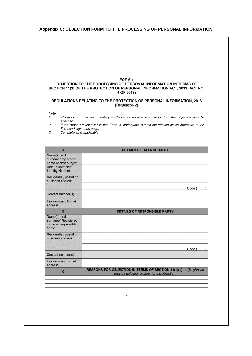### **Appendix C: OBJECTION FORM TO THE PROCESSING OF PERSONAL INFORMATION**



 $\mathbf{1}$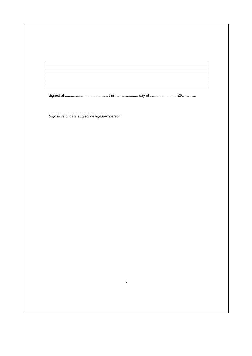| Signature of data subject/designated person |  |  |
|---------------------------------------------|--|--|
|                                             |  |  |
|                                             |  |  |
|                                             |  |  |
|                                             |  |  |
|                                             |  |  |
|                                             |  |  |
|                                             |  |  |
|                                             |  |  |
|                                             |  |  |
|                                             |  |  |
|                                             |  |  |
|                                             |  |  |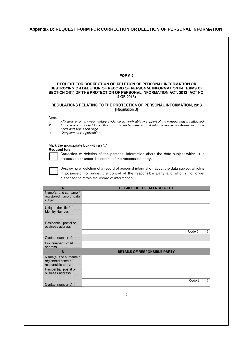# **Appendix D: REQUEST FORM FOR CORRECTION OR DELETION OF PERSONAL INFORMATION**

|                                                                          | <b>FORM 2</b>                                                                                                                                                                                                                     |
|--------------------------------------------------------------------------|-----------------------------------------------------------------------------------------------------------------------------------------------------------------------------------------------------------------------------------|
|                                                                          | REQUEST FOR CORRECTION OR DELETION OF PERSONAL INFORMATION OR<br>DESTROYING OR DELETION OF RECORD OF PERSONAL INFORMATION IN TERMS OF<br>SECTION 24(1) OF THE PROTECTION OF PERSONAL INFORMATION ACT, 2013 (ACT NO.<br>4 OF 2013) |
|                                                                          | REGULATIONS RELATING TO THE PROTECTION OF PERSONAL INFORMATION, 2018<br>[Regulation 3]                                                                                                                                            |
| Note:                                                                    |                                                                                                                                                                                                                                   |
| 1.<br>2.<br>Form and sign each page.<br>Complete as is applicable.<br>3. | Affidavits or other documentary evidence as applicable in support of the request may be attached.<br>If the space provided for in this Form is inadequate, submit information as an Annexure to this                              |
|                                                                          |                                                                                                                                                                                                                                   |
| Mark the appropriate box with an "x".<br><b>Request for:</b>             |                                                                                                                                                                                                                                   |
|                                                                          | Correction or deletion of the personal information about the data subject which is in                                                                                                                                             |
|                                                                          | possession or under the control of the responsible party.                                                                                                                                                                         |
|                                                                          |                                                                                                                                                                                                                                   |
|                                                                          |                                                                                                                                                                                                                                   |
|                                                                          |                                                                                                                                                                                                                                   |
|                                                                          | Destroying or deletion of a record of personal information about the data subject which is                                                                                                                                        |
|                                                                          | in possession or under the control of the responsible party and who is no longer                                                                                                                                                  |
|                                                                          | authorised to retain the record of information.                                                                                                                                                                                   |
|                                                                          |                                                                                                                                                                                                                                   |
| A<br>Name(s) and surname /                                               | <b>DETAILS OF THE DATA SUBJECT</b>                                                                                                                                                                                                |
| registered name of data<br>subject:                                      |                                                                                                                                                                                                                                   |
|                                                                          |                                                                                                                                                                                                                                   |
| Unique identifier/<br><b>Identity Number:</b>                            |                                                                                                                                                                                                                                   |
|                                                                          |                                                                                                                                                                                                                                   |
| Residential, postal or                                                   |                                                                                                                                                                                                                                   |
| business address:                                                        |                                                                                                                                                                                                                                   |
| Contact number(s):                                                       | Code (                                                                                                                                                                                                                            |
| Fax number/E-mail                                                        |                                                                                                                                                                                                                                   |
| address:                                                                 |                                                                                                                                                                                                                                   |
| B                                                                        | <b>DETAILS OF RESPONSIBLE PARTY</b>                                                                                                                                                                                               |
| Name(s) and surname /<br>registered name of                              |                                                                                                                                                                                                                                   |
| responsible party:<br>Residential, postal or                             |                                                                                                                                                                                                                                   |
| business address:                                                        |                                                                                                                                                                                                                                   |
|                                                                          | Code (                                                                                                                                                                                                                            |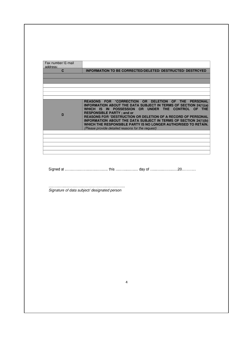| Fax number/ E-mail<br>address: |                                                                                                                                                                                                                                                                                                                                                                                                                                                                            |
|--------------------------------|----------------------------------------------------------------------------------------------------------------------------------------------------------------------------------------------------------------------------------------------------------------------------------------------------------------------------------------------------------------------------------------------------------------------------------------------------------------------------|
| $\mathbf{C}$                   | INFORMATION TO BE CORRECTED/DELETED/ DESTRUCTED/ DESTROYED                                                                                                                                                                                                                                                                                                                                                                                                                 |
|                                |                                                                                                                                                                                                                                                                                                                                                                                                                                                                            |
|                                |                                                                                                                                                                                                                                                                                                                                                                                                                                                                            |
|                                |                                                                                                                                                                                                                                                                                                                                                                                                                                                                            |
| D                              | REASONS FOR *CORRECTION OR DELETION OF THE PERSONAL<br>INFORMATION ABOUT THE DATA SUBJECT IN TERMS OF SECTION 24(1)(a)<br>WHICH IS IN POSSESSION OR UNDER THE CONTROL OF THE<br><b>RESPONSIBLE PARTY; and or</b><br>REASONS FOR *DESTRUCTION OR DELETION OF A RECORD OF PERSONAL<br>INFORMATION ABOUT THE DATA SUBJECT IN TERMS OF SECTION 24(1)(b)<br>WHICH THE RESPONSIBLE PARTY IS NO LONGER AUTHORISED TO RETAIN.<br>(Please provide detailed reasons for the request) |
|                                |                                                                                                                                                                                                                                                                                                                                                                                                                                                                            |
|                                |                                                                                                                                                                                                                                                                                                                                                                                                                                                                            |
|                                |                                                                                                                                                                                                                                                                                                                                                                                                                                                                            |
|                                |                                                                                                                                                                                                                                                                                                                                                                                                                                                                            |
|                                |                                                                                                                                                                                                                                                                                                                                                                                                                                                                            |
|                                | .<br>Signature of data subject/ designated person                                                                                                                                                                                                                                                                                                                                                                                                                          |
|                                |                                                                                                                                                                                                                                                                                                                                                                                                                                                                            |
|                                |                                                                                                                                                                                                                                                                                                                                                                                                                                                                            |
|                                |                                                                                                                                                                                                                                                                                                                                                                                                                                                                            |
|                                |                                                                                                                                                                                                                                                                                                                                                                                                                                                                            |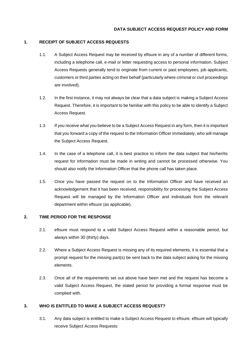# **1. RECEIPT OF SUBJECT ACCESS REQUESTS**

- 1.1. A Subject Access Request may be received by eftsure in any of a number of different forms, including a telephone call, e-mail or letter requesting access to personal information. Subject Access Requests generally tend to originate from current or past employees, job applicants, customers or third parties acting on their behalf (particularly where criminal or civil proceedings are involved).
- 1.2. In the first instance, it may not always be clear that a data subject is making a Subject Access Request. Therefore, it is important to be familiar with this policy to be able to identify a Subject Access Request.
- 1.3. If you receive what you believe to be a Subject Access Request in any form, then it is important that you forward a copy of the request to the Information Officer immediately, who will manage the Subject Access Request.
- 1.4. In the case of a telephone call, it is best practice to inform the data subject that his/her/its request for information must be made in writing and cannot be processed otherwise. You should also notify the Information Officer that the phone call has taken place.
- 1.5. Once you have passed the request on to the Information Officer and have received an acknowledgement that it has been received, responsibility for processing the Subject Access Request will be managed by the Information Officer and individuals from the relevant department within eftsure (as applicable).

### **2. TIME PERIOD FOR THE RESPONSE**

- 2.1. eftsure must respond to a valid Subject Access Request within a reasonable period, but always within 30 (thirty) days.
- 2.2. Where a Subject Access Request is missing any of its required elements, it is essential that a prompt request for the missing part(s) be sent back to the data subject asking for the missing elements.
- 2.3. Once all of the requirements set out above have been met and the request has become a valid Subject Access Request, the stated period for providing a formal response must be complied with.

### **3. WHO IS ENTITLED TO MAKE A SUBJECT ACCESS REQUEST?**

3.1. Any data subject is entitled to make a Subject Access Request to eftsure. eftsure will typically receive Subject Access Requests: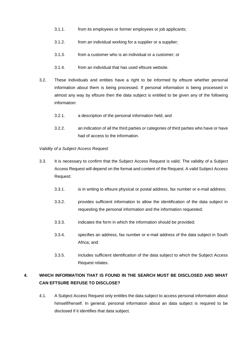- 3.1.1. from its employees or former employees or job applicants;
- 3.1.2. from an individual working for a supplier or a supplier;
- 3.1.3. from a customer who is an individual or a customer; or
- 3.1.4. from an individual that has used eftsure website.
- 3.2. These individuals and entities have a right to be informed by eftsure whether personal information about them is being processed. If personal information is being processed in almost any way by eftsure then the data subject is entitled to be given any of the following information:
	- 3.2.1. a description of the personal information held; and
	- 3.2.2. an indication of all the third parties or categories of third parties who have or have had of access to the information.

### *Validity of a Subject Access Request*

- 3.3. It is necessary to confirm that the Subject Access Request is valid. The validity of a Subject Access Request will depend on the format and content of the Request. A valid Subject Access Request:
	- 3.3.1. is in writing to eftsure physical or postal address, fax number or e-mail address;
	- 3.3.2. provides sufficient information to allow the identification of the data subject in requesting the personal information and the information requested;
	- 3.3.3. indicates the form in which the information should be provided;
	- 3.3.4. specifies an address, fax number or e-mail address of the data subject in South Africa; and
	- 3.3.5. includes sufficient identification of the data subject to which the Subject Access Request relates.

# **4. WHICH INFORMATION THAT IS FOUND IN THE SEARCH MUST BE DISCLOSED AND WHAT CAN EFTSURE REFUSE TO DISCLOSE?**

4.1. A Subject Access Request only entitles the data subject to access personal information about himself/herself. In general, personal information about an data subject is required to be disclosed if it identifies that data subject.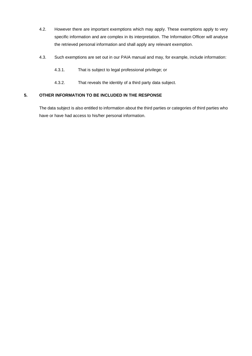- 4.2. However there are important exemptions which may apply. These exemptions apply to very specific information and are complex in its interpretation. The Information Officer will analyse the retrieved personal information and shall apply any relevant exemption.
- 4.3. Such exemptions are set out in our PAIA manual and may, for example, include information:
	- 4.3.1. That is subject to legal professional privilege; or
	- 4.3.2. That reveals the identity of a third party data subject.

# **5. OTHER INFORMATION TO BE INCLUDED IN THE RESPONSE**

The data subject is also entitled to information about the third parties or categories of third parties who have or have had access to his/her personal information.